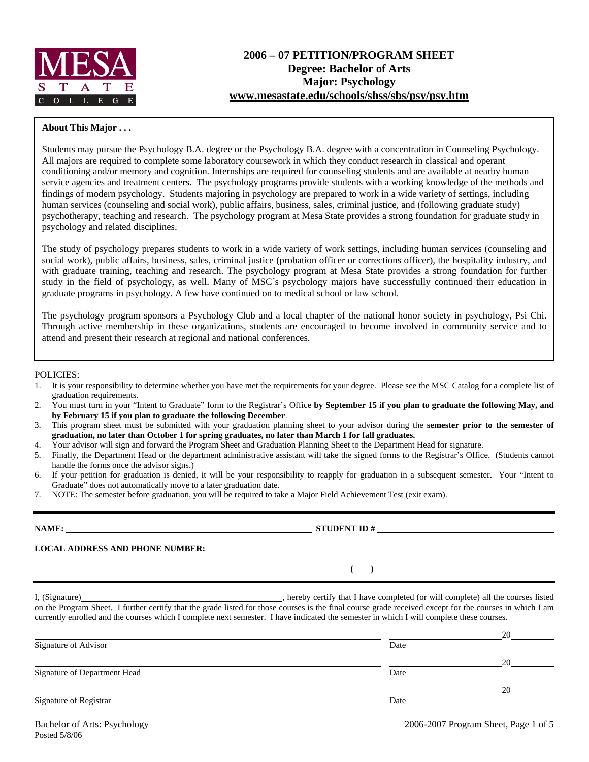

### **About This Major . . .**

Students may pursue the Psychology B.A. degree or the Psychology B.A. degree with a concentration in Counseling Psychology. All majors are required to complete some laboratory coursework in which they conduct research in classical and operant conditioning and/or memory and cognition. Internships are required for counseling students and are available at nearby human service agencies and treatment centers. The psychology programs provide students with a working knowledge of the methods and findings of modern psychology. Students majoring in psychology are prepared to work in a wide variety of settings, including human services (counseling and social work), public affairs, business, sales, criminal justice, and (following graduate study) psychotherapy, teaching and research. The psychology program at Mesa State provides a strong foundation for graduate study in psychology and related disciplines.

The study of psychology prepares students to work in a wide variety of work settings, including human services (counseling and social work), public affairs, business, sales, criminal justice (probation officer or corrections officer), the hospitality industry, and with graduate training, teaching and research. The psychology program at Mesa State provides a strong foundation for further study in the field of psychology, as well. Many of MSC´s psychology majors have successfully continued their education in graduate programs in psychology. A few have continued on to medical school or law school.

The psychology program sponsors a Psychology Club and a local chapter of the national honor society in psychology, Psi Chi. Through active membership in these organizations, students are encouraged to become involved in community service and to attend and present their research at regional and national conferences.

#### POLICIES:

- 1. It is your responsibility to determine whether you have met the requirements for your degree. Please see the MSC Catalog for a complete list of graduation requirements.
- 2. You must turn in your "Intent to Graduate" form to the Registrar's Office **by September 15 if you plan to graduate the following May, and by February 15 if you plan to graduate the following December**.
- 3. This program sheet must be submitted with your graduation planning sheet to your advisor during the **semester prior to the semester of graduation, no later than October 1 for spring graduates, no later than March 1 for fall graduates.**
- 4. Your advisor will sign and forward the Program Sheet and Graduation Planning Sheet to the Department Head for signature.
- 5. Finally, the Department Head or the department administrative assistant will take the signed forms to the Registrar's Office. (Students cannot handle the forms once the advisor signs.)
- 6. If your petition for graduation is denied, it will be your responsibility to reapply for graduation in a subsequent semester. Your "Intent to Graduate" does not automatically move to a later graduation date.
- 7. NOTE: The semester before graduation, you will be required to take a Major Field Achievement Test (exit exam).

|                              | NAME:<br>STUDENT ID $\#$                                                                                                                                                                                                                                                                                                                                                   |    |  |  |  |  |  |  |
|------------------------------|----------------------------------------------------------------------------------------------------------------------------------------------------------------------------------------------------------------------------------------------------------------------------------------------------------------------------------------------------------------------------|----|--|--|--|--|--|--|
|                              | LOCAL ADDRESS AND PHONE NUMBER: Under the contract of the contract of the contract of the contract of the contract of the contract of the contract of the contract of the contract of the contract of the contract of the cont                                                                                                                                             |    |  |  |  |  |  |  |
|                              |                                                                                                                                                                                                                                                                                                                                                                            |    |  |  |  |  |  |  |
|                              | I, (Signature) (Signature) (Signature) (Signature) (Signature) (Signature) (Signature) all the courses listed on the Program Sheet. I further certify that the grade listed for those courses is the final course grade receiv<br>currently enrolled and the courses which I complete next semester. I have indicated the semester in which I will complete these courses. |    |  |  |  |  |  |  |
| Signature of Advisor         | Date                                                                                                                                                                                                                                                                                                                                                                       |    |  |  |  |  |  |  |
| Signature of Department Head |                                                                                                                                                                                                                                                                                                                                                                            | 20 |  |  |  |  |  |  |
|                              | Date                                                                                                                                                                                                                                                                                                                                                                       |    |  |  |  |  |  |  |
| Signature of Registrar       | Date                                                                                                                                                                                                                                                                                                                                                                       |    |  |  |  |  |  |  |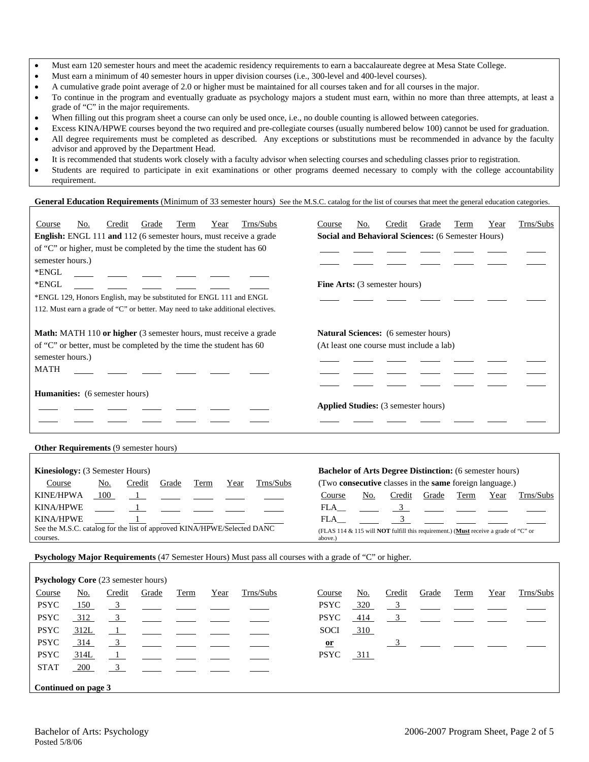- Must earn 120 semester hours and meet the academic residency requirements to earn a baccalaureate degree at Mesa State College.
- Must earn a minimum of 40 semester hours in upper division courses (i.e., 300-level and 400-level courses).
- A cumulative grade point average of 2.0 or higher must be maintained for all courses taken and for all courses in the major.
- To continue in the program and eventually graduate as psychology majors a student must earn, within no more than three attempts, at least a grade of "C" in the major requirements.
- When filling out this program sheet a course can only be used once, i.e., no double counting is allowed between categories.
- Excess KINA/HPWE courses beyond the two required and pre-collegiate courses (usually numbered below 100) cannot be used for graduation.
- All degree requirements must be completed as described. Any exceptions or substitutions must be recommended in advance by the faculty advisor and approved by the Department Head.
- It is recommended that students work closely with a faculty advisor when selecting courses and scheduling classes prior to registration.
- Students are required to participate in exit examinations or other programs deemed necessary to comply with the college accountability requirement.

### **General Education Requirements** (Minimum of 33 semester hours) See the M.S.C. catalog for the list of courses that meet the general education categories.

| Trns/Subs<br>Credit<br>Grade<br>Term<br>Course<br>No.<br>Year<br>English: ENGL 111 and 112 (6 semester hours, must receive a grade | Trns/Subs<br>No.<br>Credit<br>Grade<br>Term<br>Year<br>Course<br>Social and Behavioral Sciences: (6 Semester Hours) |
|------------------------------------------------------------------------------------------------------------------------------------|---------------------------------------------------------------------------------------------------------------------|
| of "C" or higher, must be completed by the time the student has 60                                                                 |                                                                                                                     |
| semester hours.)                                                                                                                   |                                                                                                                     |
| *ENGL                                                                                                                              |                                                                                                                     |
| *ENGL                                                                                                                              | <b>Fine Arts:</b> (3 semester hours)                                                                                |
| *ENGL 129, Honors English, may be substituted for ENGL 111 and ENGL                                                                |                                                                                                                     |
| 112. Must earn a grade of "C" or better. May need to take additional electives.                                                    |                                                                                                                     |
|                                                                                                                                    |                                                                                                                     |
| Math: MATH 110 or higher (3 semester hours, must receive a grade                                                                   | Natural Sciences: (6 semester hours)                                                                                |
| of "C" or better, must be completed by the time the student has 60                                                                 | (At least one course must include a lab)                                                                            |
| semester hours.)                                                                                                                   |                                                                                                                     |
| <b>MATH</b>                                                                                                                        |                                                                                                                     |
|                                                                                                                                    |                                                                                                                     |
| <b>Humanities:</b> (6 semester hours)                                                                                              |                                                                                                                     |
|                                                                                                                                    | <b>Applied Studies:</b> (3 semester hours)                                                                          |
|                                                                                                                                    |                                                                                                                     |
|                                                                                                                                    |                                                                                                                     |
| <b>Other Requirements (9 semester hours)</b>                                                                                       |                                                                                                                     |
|                                                                                                                                    |                                                                                                                     |
| Kinesiology: (3 Semester Hours)                                                                                                    | <b>Bachelor of Arts Degree Distinction:</b> (6 semester hours)                                                      |
| Trns/Subs<br>Course<br>No.<br>Credit<br>Grade<br>Term<br>Year                                                                      | (Two consecutive classes in the same foreign language.)                                                             |
| KINE/HPWA<br>100<br>$\mathbf{1}$                                                                                                   | Term<br>Course<br>No.<br>Credit<br>Grade<br>Year<br>Trns/Subs                                                       |
| <b>KINA/HPWE</b>                                                                                                                   | 3 <sup>7</sup><br>FLA                                                                                               |
| <b>KINA/HPWE</b>                                                                                                                   | 3<br><b>FLA</b>                                                                                                     |
| See the M.S.C. catalog for the list of approved KINA/HPWE/Selected DANC                                                            | (FLAS 114 & 115 will <b>NOT</b> fulfill this requirement.) (Must receive a grade of "C" or                          |
| courses.                                                                                                                           | above.)                                                                                                             |

**Psychology Major Requirements** (47 Semester Hours) Must pass all courses with a grade of "C" or higher.

|             |                     | <b>Psychology Core</b> (23 semester hours) |       |      |      |           |  |             |     |               |                |      |      |           |
|-------------|---------------------|--------------------------------------------|-------|------|------|-----------|--|-------------|-----|---------------|----------------|------|------|-----------|
| Course      | <u>No.</u>          | Credit                                     | Grade | Term | Year | Trns/Subs |  | Course      | No. | Credit        | Grade          | Term | Year | Trns/Subs |
| <b>PSYC</b> | 150                 | $\overline{\phantom{0}3}$                  |       |      |      |           |  | <b>PSYC</b> | 320 | $\frac{3}{2}$ |                |      |      |           |
| <b>PSYC</b> | 312                 | $\overline{3}$                             |       |      |      |           |  | <b>PSYC</b> | 414 |               | $\frac{3}{2}$  |      |      |           |
| <b>PSYC</b> | 312L                | $\frac{1}{\sqrt{2}}$                       |       |      |      |           |  | <b>SOCI</b> | 310 |               |                |      |      |           |
| <b>PSYC</b> | 314                 | $\frac{3}{2}$                              |       |      |      |           |  | $or$        |     |               | $\overline{3}$ |      |      |           |
| <b>PSYC</b> | 314L                | $\frac{1}{\sqrt{2}}$                       |       |      |      |           |  | <b>PSYC</b> | 311 |               |                |      |      |           |
| <b>STAT</b> | 200                 | $\overline{\mathbf{3}}$                    |       |      |      |           |  |             |     |               |                |      |      |           |
|             | Continued on page 3 |                                            |       |      |      |           |  |             |     |               |                |      |      |           |
|             |                     |                                            |       |      |      |           |  |             |     |               |                |      |      |           |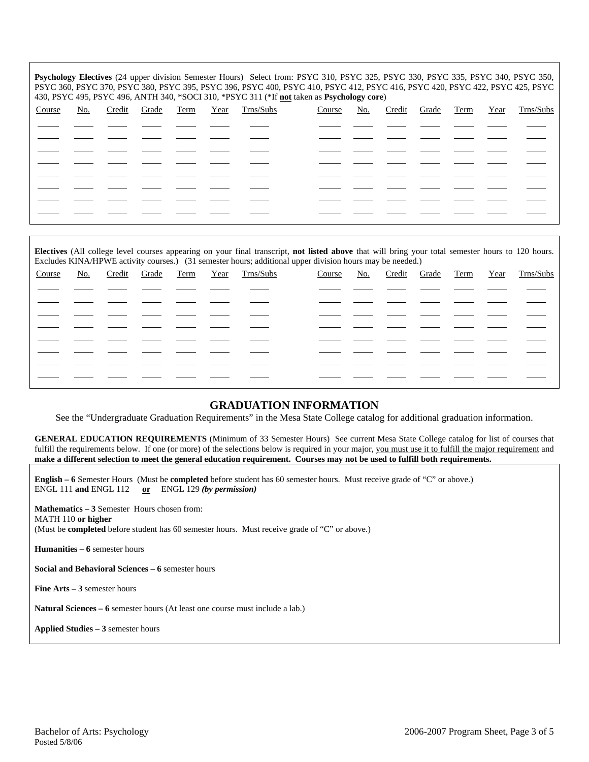**Psychology Electives** (24 upper division Semester Hours) Select from: PSYC 310, PSYC 325, PSYC 330, PSYC 335, PSYC 340, PSYC 350, PSYC 360, PSYC 370, PSYC 380, PSYC 395, PSYC 396, PSYC 400, PSYC 410, PSYC 412, PSYC 416, PSYC 420, PSYC 422, PSYC 425, PSYC 430, PSYC 495, PSYC 496, ANTH 340, \*SOCI 310, \*PSYC 311 (\*If **not** taken as **Psychology core**)

|        |            |                   |  |                |        | $\sim$     |              |  |                     |
|--------|------------|-------------------|--|----------------|--------|------------|--------------|--|---------------------|
| Course | <u>No.</u> | Credit Grade Term |  | Year Trns/Subs | Course | <u>No.</u> | Credit Grade |  | Term Year Trns/Subs |
|        |            |                   |  |                |        |            |              |  |                     |
|        |            |                   |  |                |        |            |              |  |                     |
|        |            |                   |  |                |        |            |              |  |                     |
|        |            |                   |  |                |        |            |              |  |                     |
|        |            |                   |  |                |        |            |              |  |                     |
|        |            |                   |  |                |        |            |              |  |                     |
|        |            |                   |  |                |        |            |              |  |                     |
|        |            |                   |  |                |        |            |              |  |                     |
|        |            |                   |  |                |        |            |              |  |                     |

**Electives** (All college level courses appearing on your final transcript, **not listed above** that will bring your total semester hours to 120 hours. Excludes KINA/HPWE activity courses.) (31 semester hours; additional upper division hours may be needed.)

| Course | No. | Credit Grade Term |  | Year Trns/Subs | Course | <u>No.</u> | Credit Grade |  | Term Year Trns/Subs |
|--------|-----|-------------------|--|----------------|--------|------------|--------------|--|---------------------|
|        |     |                   |  |                |        |            |              |  |                     |
|        |     |                   |  |                |        |            |              |  |                     |
|        |     |                   |  |                |        |            |              |  |                     |
|        |     |                   |  |                |        |            |              |  |                     |
|        |     |                   |  |                |        |            |              |  |                     |
|        |     |                   |  |                |        |            |              |  |                     |
|        |     |                   |  |                |        |            |              |  |                     |
|        |     |                   |  |                |        |            |              |  |                     |

## **GRADUATION INFORMATION**

See the "Undergraduate Graduation Requirements" in the Mesa State College catalog for additional graduation information.

**GENERAL EDUCATION REQUIREMENTS** (Minimum of 33 Semester Hours) See current Mesa State College catalog for list of courses that fulfill the requirements below. If one (or more) of the selections below is required in your major, you must use it to fulfill the major requirement and **make a different selection to meet the general education requirement. Courses may not be used to fulfill both requirements.**

**English – 6** Semester Hours (Must be **completed** before student has 60 semester hours. Must receive grade of "C" or above.) ENGL 111 **and** ENGL 112 **or** ENGL 129 *(by permission)*

**Mathematics – 3** Semester Hours chosen from: MATH 110 **or higher** (Must be **completed** before student has 60 semester hours. Must receive grade of "C" or above.)

**Humanities – 6** semester hours

**Social and Behavioral Sciences – 6** semester hours

**Fine Arts – 3** semester hours

**Natural Sciences – 6** semester hours (At least one course must include a lab.)

**Applied Studies – 3** semester hours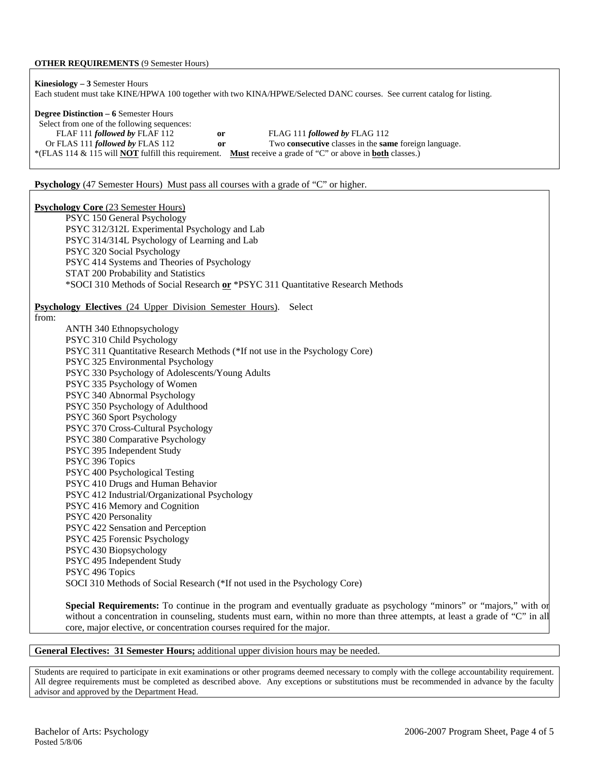#### **OTHER REQUIREMENTS** (9 Semester Hours)

| <b>Kinesiology</b> $-3$ Semester Hours<br>Each student must take KINE/HPWA 100 together with two KINA/HPWE/Selected DANC courses. See current catalog for listing.                                                                                                                                                                                                                                 |
|----------------------------------------------------------------------------------------------------------------------------------------------------------------------------------------------------------------------------------------------------------------------------------------------------------------------------------------------------------------------------------------------------|
| <b>Degree Distinction – 6 Semester Hours</b><br>Select from one of the following sequences:<br>FLAF 111 followed by FLAF 112<br>FLAG 111 followed by FLAG 112<br>or<br>Or FLAS 111 followed by FLAS 112<br>Two consecutive classes in the same foreign language.<br>or<br>*(FLAS 114 & 115 will <b>NOT</b> fulfill this requirement. Must receive a grade of "C" or above in <b>both</b> classes.) |
| <b>Psychology</b> (47 Semester Hours) Must pass all courses with a grade of "C" or higher.                                                                                                                                                                                                                                                                                                         |
| <b>Psychology Core (23 Semester Hours)</b>                                                                                                                                                                                                                                                                                                                                                         |
| PSYC 150 General Psychology                                                                                                                                                                                                                                                                                                                                                                        |
| PSYC 312/312L Experimental Psychology and Lab                                                                                                                                                                                                                                                                                                                                                      |
| PSYC 314/314L Psychology of Learning and Lab                                                                                                                                                                                                                                                                                                                                                       |
| PSYC 320 Social Psychology                                                                                                                                                                                                                                                                                                                                                                         |
| PSYC 414 Systems and Theories of Psychology                                                                                                                                                                                                                                                                                                                                                        |
| STAT 200 Probability and Statistics                                                                                                                                                                                                                                                                                                                                                                |
| *SOCI 310 Methods of Social Research or *PSYC 311 Quantitative Research Methods                                                                                                                                                                                                                                                                                                                    |
| <b>Psychology Electives</b> (24 Upper Division Semester Hours).<br>Select                                                                                                                                                                                                                                                                                                                          |
| from:                                                                                                                                                                                                                                                                                                                                                                                              |
| ANTH 340 Ethnopsychology                                                                                                                                                                                                                                                                                                                                                                           |
| PSYC 310 Child Psychology                                                                                                                                                                                                                                                                                                                                                                          |
| PSYC 311 Quantitative Research Methods (*If not use in the Psychology Core)                                                                                                                                                                                                                                                                                                                        |
| PSYC 325 Environmental Psychology                                                                                                                                                                                                                                                                                                                                                                  |
| PSYC 330 Psychology of Adolescents/Young Adults                                                                                                                                                                                                                                                                                                                                                    |
| PSYC 335 Psychology of Women                                                                                                                                                                                                                                                                                                                                                                       |
| PSYC 340 Abnormal Psychology                                                                                                                                                                                                                                                                                                                                                                       |
| PSYC 350 Psychology of Adulthood                                                                                                                                                                                                                                                                                                                                                                   |
| PSYC 360 Sport Psychology                                                                                                                                                                                                                                                                                                                                                                          |
| PSYC 370 Cross-Cultural Psychology                                                                                                                                                                                                                                                                                                                                                                 |
| PSYC 380 Comparative Psychology                                                                                                                                                                                                                                                                                                                                                                    |
| PSYC 395 Independent Study                                                                                                                                                                                                                                                                                                                                                                         |
| PSYC 396 Topics                                                                                                                                                                                                                                                                                                                                                                                    |
| PSYC 400 Psychological Testing                                                                                                                                                                                                                                                                                                                                                                     |
| PSYC 410 Drugs and Human Behavior                                                                                                                                                                                                                                                                                                                                                                  |
| PSYC 412 Industrial/Organizational Psychology                                                                                                                                                                                                                                                                                                                                                      |
| PSYC 416 Memory and Cognition<br>PSYC 420 Personality                                                                                                                                                                                                                                                                                                                                              |
| PSYC 422 Sensation and Perception                                                                                                                                                                                                                                                                                                                                                                  |
| PSYC 425 Forensic Psychology                                                                                                                                                                                                                                                                                                                                                                       |
| PSYC 430 Biopsychology                                                                                                                                                                                                                                                                                                                                                                             |
| PSYC 495 Independent Study                                                                                                                                                                                                                                                                                                                                                                         |
| PSYC 496 Topics                                                                                                                                                                                                                                                                                                                                                                                    |
| SOCI 310 Methods of Social Research (*If not used in the Psychology Core)                                                                                                                                                                                                                                                                                                                          |
|                                                                                                                                                                                                                                                                                                                                                                                                    |
| Special Requirements: To continue in the program and eventually graduate as psychology "minors" or "majors," with or                                                                                                                                                                                                                                                                               |

without a concentration in counseling, students must earn, within no more than three attempts, at least a grade of "C" in all core, major elective, or concentration courses required for the major.

### **General Electives: 31 Semester Hours;** additional upper division hours may be needed.

Students are required to participate in exit examinations or other programs deemed necessary to comply with the college accountability requirement. All degree requirements must be completed as described above. Any exceptions or substitutions must be recommended in advance by the faculty advisor and approved by the Department Head.